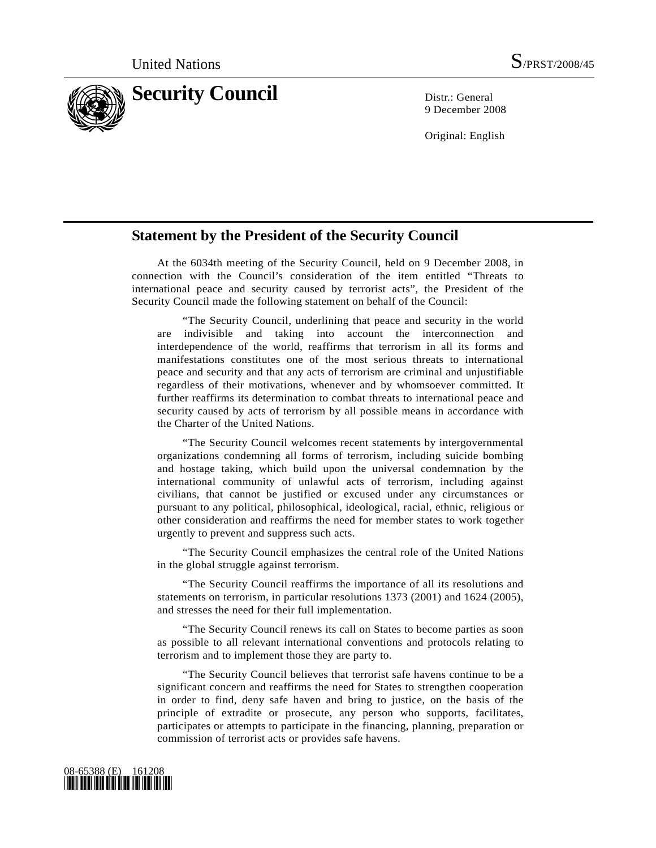

9 December 2008

Original: English

## **Statement by the President of the Security Council**

 At the 6034th meeting of the Security Council, held on 9 December 2008, in connection with the Council's consideration of the item entitled "Threats to international peace and security caused by terrorist acts", the President of the Security Council made the following statement on behalf of the Council:

 "The Security Council, underlining that peace and security in the world are indivisible and taking into account the interconnection and interdependence of the world, reaffirms that terrorism in all its forms and manifestations constitutes one of the most serious threats to international peace and security and that any acts of terrorism are criminal and unjustifiable regardless of their motivations, whenever and by whomsoever committed. It further reaffirms its determination to combat threats to international peace and security caused by acts of terrorism by all possible means in accordance with the Charter of the United Nations.

 "The Security Council welcomes recent statements by intergovernmental organizations condemning all forms of terrorism, including suicide bombing and hostage taking, which build upon the universal condemnation by the international community of unlawful acts of terrorism, including against civilians, that cannot be justified or excused under any circumstances or pursuant to any political, philosophical, ideological, racial, ethnic, religious or other consideration and reaffirms the need for member states to work together urgently to prevent and suppress such acts.

 "The Security Council emphasizes the central role of the United Nations in the global struggle against terrorism.

 "The Security Council reaffirms the importance of all its resolutions and statements on terrorism, in particular resolutions 1373 (2001) and 1624 (2005), and stresses the need for their full implementation.

 "The Security Council renews its call on States to become parties as soon as possible to all relevant international conventions and protocols relating to terrorism and to implement those they are party to.

 "The Security Council believes that terrorist safe havens continue to be a significant concern and reaffirms the need for States to strengthen cooperation in order to find, deny safe haven and bring to justice, on the basis of the principle of extradite or prosecute, any person who supports, facilitates, participates or attempts to participate in the financing, planning, preparation or commission of terrorist acts or provides safe havens.